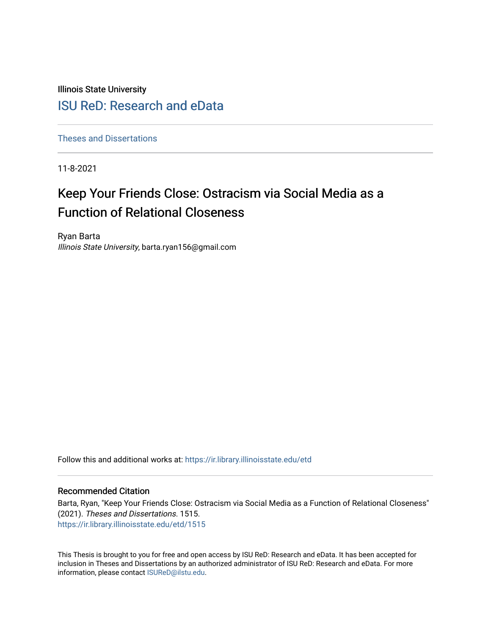Illinois State University

## [ISU ReD: Research and eData](https://ir.library.illinoisstate.edu/)

[Theses and Dissertations](https://ir.library.illinoisstate.edu/etd)

11-8-2021

# Keep Your Friends Close: Ostracism via Social Media as a Function of Relational Closeness

Ryan Barta Illinois State University, barta.ryan156@gmail.com

Follow this and additional works at: [https://ir.library.illinoisstate.edu/etd](https://ir.library.illinoisstate.edu/etd?utm_source=ir.library.illinoisstate.edu%2Fetd%2F1515&utm_medium=PDF&utm_campaign=PDFCoverPages) 

#### Recommended Citation

Barta, Ryan, "Keep Your Friends Close: Ostracism via Social Media as a Function of Relational Closeness" (2021). Theses and Dissertations. 1515. [https://ir.library.illinoisstate.edu/etd/1515](https://ir.library.illinoisstate.edu/etd/1515?utm_source=ir.library.illinoisstate.edu%2Fetd%2F1515&utm_medium=PDF&utm_campaign=PDFCoverPages) 

This Thesis is brought to you for free and open access by ISU ReD: Research and eData. It has been accepted for inclusion in Theses and Dissertations by an authorized administrator of ISU ReD: Research and eData. For more information, please contact [ISUReD@ilstu.edu.](mailto:ISUReD@ilstu.edu)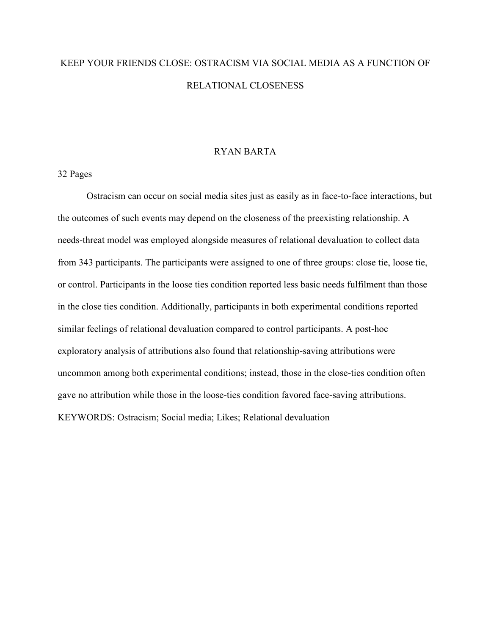# KEEP YOUR FRIENDS CLOSE: OSTRACISM VIA SOCIAL MEDIA AS A FUNCTION OF RELATIONAL CLOSENESS

#### RYAN BARTA

#### 32 Pages

Ostracism can occur on social media sites just as easily as in face-to-face interactions, but the outcomes of such events may depend on the closeness of the preexisting relationship. A needs-threat model was employed alongside measures of relational devaluation to collect data from 343 participants. The participants were assigned to one of three groups: close tie, loose tie, or control. Participants in the loose ties condition reported less basic needs fulfilment than those in the close ties condition. Additionally, participants in both experimental conditions reported similar feelings of relational devaluation compared to control participants. A post-hoc exploratory analysis of attributions also found that relationship-saving attributions were uncommon among both experimental conditions; instead, those in the close-ties condition often gave no attribution while those in the loose-ties condition favored face-saving attributions. KEYWORDS: Ostracism; Social media; Likes; Relational devaluation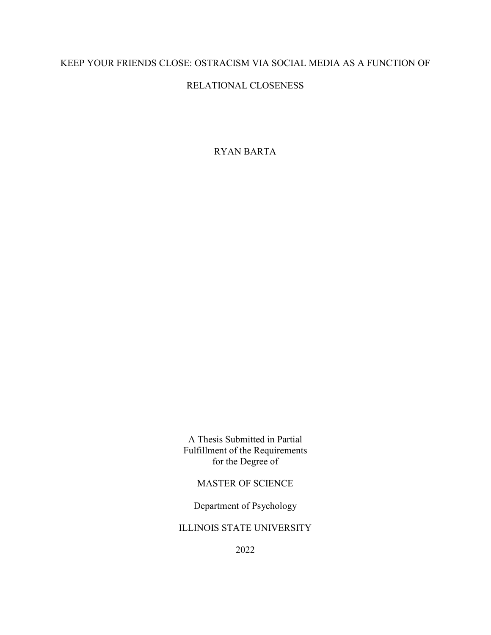## KEEP YOUR FRIENDS CLOSE: OSTRACISM VIA SOCIAL MEDIA AS A FUNCTION OF

## RELATIONAL CLOSENESS

RYAN BARTA

A Thesis Submitted in Partial Fulfillment of the Requirements for the Degree of

MASTER OF SCIENCE

Department of Psychology

ILLINOIS STATE UNIVERSITY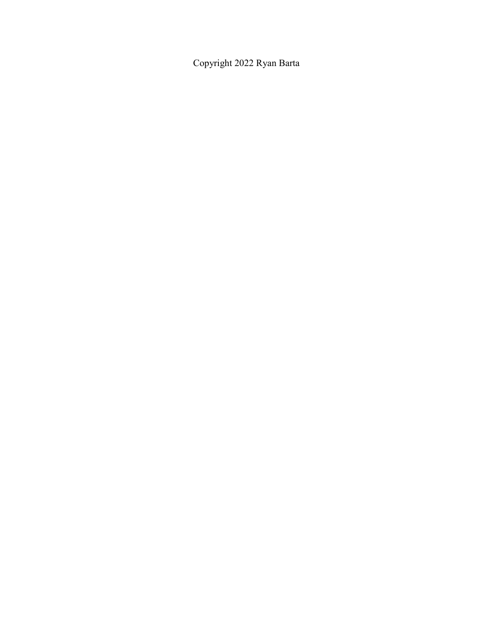Copyright 2022 Ryan Barta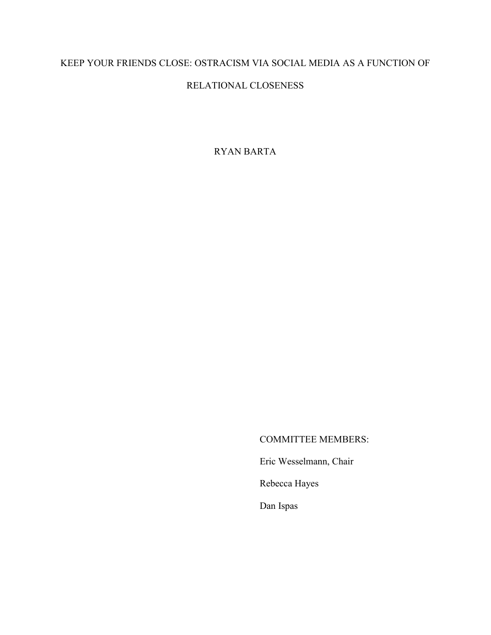## KEEP YOUR FRIENDS CLOSE: OSTRACISM VIA SOCIAL MEDIA AS A FUNCTION OF

## RELATIONAL CLOSENESS

RYAN BARTA

### COMMITTEE MEMBERS:

Eric Wesselmann, Chair

Rebecca Hayes

Dan Ispas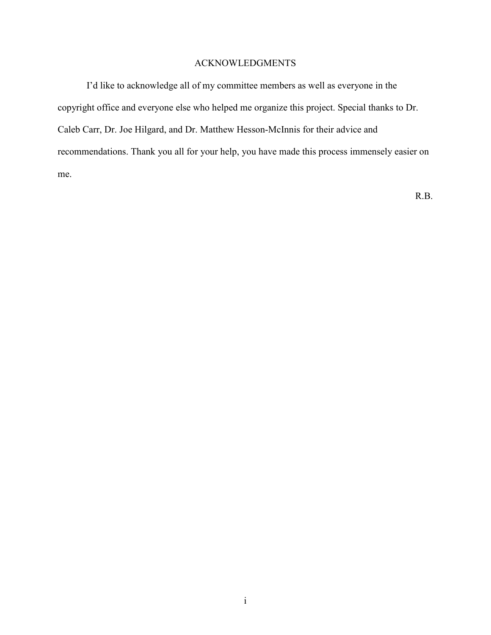#### ACKNOWLEDGMENTS

I'd like to acknowledge all of my committee members as well as everyone in the copyright office and everyone else who helped me organize this project. Special thanks to Dr. Caleb Carr, Dr. Joe Hilgard, and Dr. Matthew Hesson-McInnis for their advice and recommendations. Thank you all for your help, you have made this process immensely easier on me.

R.B.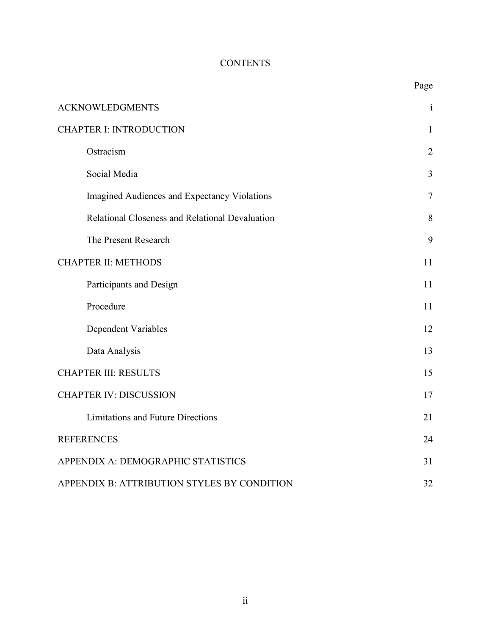# **CONTENTS**

|                                                 | Page           |  |  |
|-------------------------------------------------|----------------|--|--|
| <b>ACKNOWLEDGMENTS</b>                          | $\mathbf{i}$   |  |  |
| <b>CHAPTER I: INTRODUCTION</b>                  | $\mathbf{1}$   |  |  |
| Ostracism                                       | $\overline{2}$ |  |  |
| Social Media                                    | 3              |  |  |
| Imagined Audiences and Expectancy Violations    | $\overline{7}$ |  |  |
| Relational Closeness and Relational Devaluation | 8              |  |  |
| The Present Research                            | 9              |  |  |
| <b>CHAPTER II: METHODS</b>                      | 11             |  |  |
| Participants and Design                         | 11             |  |  |
| Procedure                                       | 11             |  |  |
| Dependent Variables                             | 12             |  |  |
| Data Analysis                                   | 13             |  |  |
| <b>CHAPTER III: RESULTS</b>                     | 15             |  |  |
| <b>CHAPTER IV: DISCUSSION</b>                   | 17             |  |  |
| <b>Limitations and Future Directions</b>        | 21             |  |  |
| <b>REFERENCES</b>                               | 24             |  |  |
| APPENDIX A: DEMOGRAPHIC STATISTICS              | 31             |  |  |
| APPENDIX B: ATTRIBUTION STYLES BY CONDITION     |                |  |  |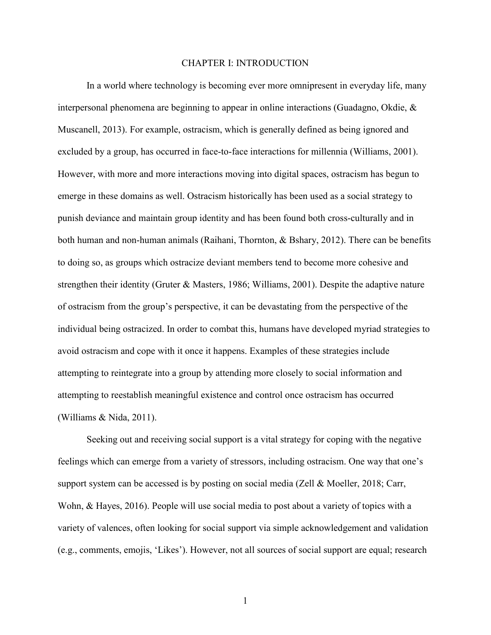#### CHAPTER I: INTRODUCTION

In a world where technology is becoming ever more omnipresent in everyday life, many interpersonal phenomena are beginning to appear in online interactions (Guadagno, Okdie, & Muscanell, 2013). For example, ostracism, which is generally defined as being ignored and excluded by a group, has occurred in face-to-face interactions for millennia (Williams, 2001). However, with more and more interactions moving into digital spaces, ostracism has begun to emerge in these domains as well. Ostracism historically has been used as a social strategy to punish deviance and maintain group identity and has been found both cross-culturally and in both human and non-human animals (Raihani, Thornton, & Bshary, 2012). There can be benefits to doing so, as groups which ostracize deviant members tend to become more cohesive and strengthen their identity (Gruter & Masters, 1986; Williams, 2001). Despite the adaptive nature of ostracism from the group's perspective, it can be devastating from the perspective of the individual being ostracized. In order to combat this, humans have developed myriad strategies to avoid ostracism and cope with it once it happens. Examples of these strategies include attempting to reintegrate into a group by attending more closely to social information and attempting to reestablish meaningful existence and control once ostracism has occurred (Williams & Nida, 2011).

Seeking out and receiving social support is a vital strategy for coping with the negative feelings which can emerge from a variety of stressors, including ostracism. One way that one's support system can be accessed is by posting on social media (Zell & Moeller, 2018; Carr, Wohn, & Hayes, 2016). People will use social media to post about a variety of topics with a variety of valences, often looking for social support via simple acknowledgement and validation (e.g., comments, emojis, 'Likes'). However, not all sources of social support are equal; research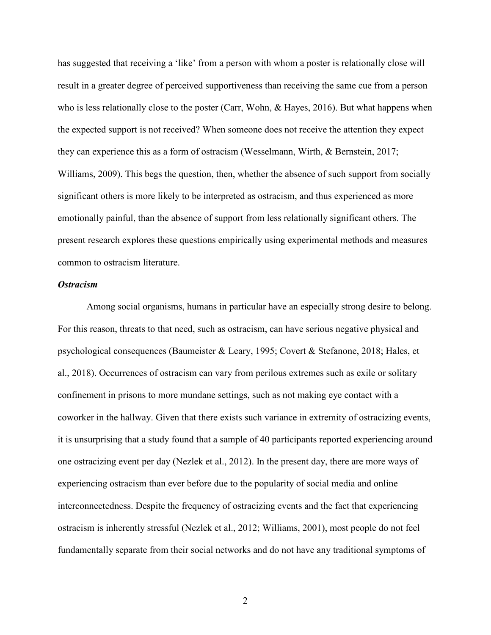has suggested that receiving a 'like' from a person with whom a poster is relationally close will result in a greater degree of perceived supportiveness than receiving the same cue from a person who is less relationally close to the poster (Carr, Wohn, & Hayes, 2016). But what happens when the expected support is not received? When someone does not receive the attention they expect they can experience this as a form of ostracism (Wesselmann, Wirth, & Bernstein, 2017; Williams, 2009). This begs the question, then, whether the absence of such support from socially significant others is more likely to be interpreted as ostracism, and thus experienced as more emotionally painful, than the absence of support from less relationally significant others. The present research explores these questions empirically using experimental methods and measures common to ostracism literature.

#### *Ostracism*

Among social organisms, humans in particular have an especially strong desire to belong. For this reason, threats to that need, such as ostracism, can have serious negative physical and psychological consequences (Baumeister & Leary, 1995; Covert & Stefanone, 2018; Hales, et al., 2018). Occurrences of ostracism can vary from perilous extremes such as exile or solitary confinement in prisons to more mundane settings, such as not making eye contact with a coworker in the hallway. Given that there exists such variance in extremity of ostracizing events, it is unsurprising that a study found that a sample of 40 participants reported experiencing around one ostracizing event per day (Nezlek et al., 2012). In the present day, there are more ways of experiencing ostracism than ever before due to the popularity of social media and online interconnectedness. Despite the frequency of ostracizing events and the fact that experiencing ostracism is inherently stressful (Nezlek et al., 2012; Williams, 2001), most people do not feel fundamentally separate from their social networks and do not have any traditional symptoms of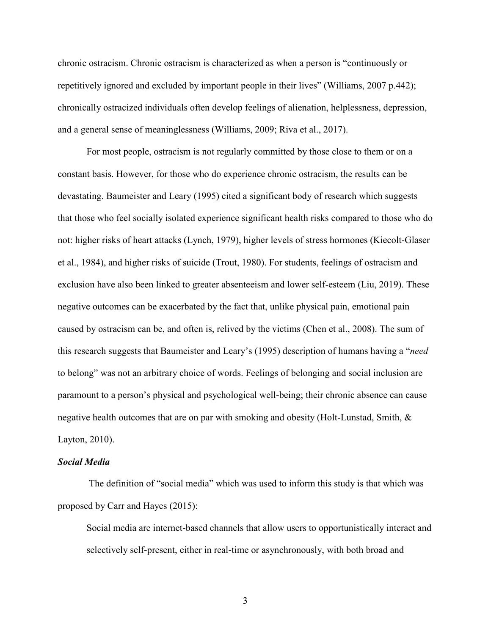chronic ostracism. Chronic ostracism is characterized as when a person is "continuously or repetitively ignored and excluded by important people in their lives" (Williams, 2007 p.442); chronically ostracized individuals often develop feelings of alienation, helplessness, depression, and a general sense of meaninglessness (Williams, 2009; Riva et al., 2017).

For most people, ostracism is not regularly committed by those close to them or on a constant basis. However, for those who do experience chronic ostracism, the results can be devastating. Baumeister and Leary (1995) cited a significant body of research which suggests that those who feel socially isolated experience significant health risks compared to those who do not: higher risks of heart attacks (Lynch, 1979), higher levels of stress hormones (Kiecolt-Glaser et al., 1984), and higher risks of suicide (Trout, 1980). For students, feelings of ostracism and exclusion have also been linked to greater absenteeism and lower self-esteem (Liu, 2019). These negative outcomes can be exacerbated by the fact that, unlike physical pain, emotional pain caused by ostracism can be, and often is, relived by the victims (Chen et al., 2008). The sum of this research suggests that Baumeister and Leary's (1995) description of humans having a "*need* to belong" was not an arbitrary choice of words. Feelings of belonging and social inclusion are paramount to a person's physical and psychological well-being; their chronic absence can cause negative health outcomes that are on par with smoking and obesity (Holt-Lunstad, Smith, & Layton, 2010).

#### *Social Media*

 The definition of "social media" which was used to inform this study is that which was proposed by Carr and Hayes (2015):

Social media are internet-based channels that allow users to opportunistically interact and selectively self-present, either in real-time or asynchronously, with both broad and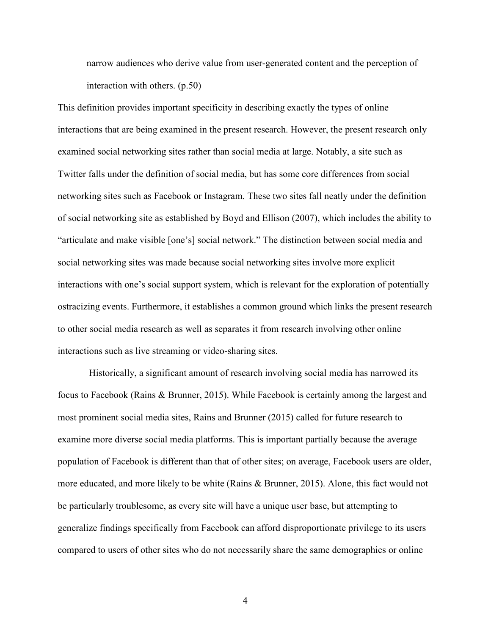narrow audiences who derive value from user-generated content and the perception of interaction with others. (p.50)

This definition provides important specificity in describing exactly the types of online interactions that are being examined in the present research. However, the present research only examined social networking sites rather than social media at large. Notably, a site such as Twitter falls under the definition of social media, but has some core differences from social networking sites such as Facebook or Instagram. These two sites fall neatly under the definition of social networking site as established by Boyd and Ellison (2007), which includes the ability to "articulate and make visible [one's] social network." The distinction between social media and social networking sites was made because social networking sites involve more explicit interactions with one's social support system, which is relevant for the exploration of potentially ostracizing events. Furthermore, it establishes a common ground which links the present research to other social media research as well as separates it from research involving other online interactions such as live streaming or video-sharing sites.

 Historically, a significant amount of research involving social media has narrowed its focus to Facebook (Rains & Brunner, 2015). While Facebook is certainly among the largest and most prominent social media sites, Rains and Brunner (2015) called for future research to examine more diverse social media platforms. This is important partially because the average population of Facebook is different than that of other sites; on average, Facebook users are older, more educated, and more likely to be white (Rains & Brunner, 2015). Alone, this fact would not be particularly troublesome, as every site will have a unique user base, but attempting to generalize findings specifically from Facebook can afford disproportionate privilege to its users compared to users of other sites who do not necessarily share the same demographics or online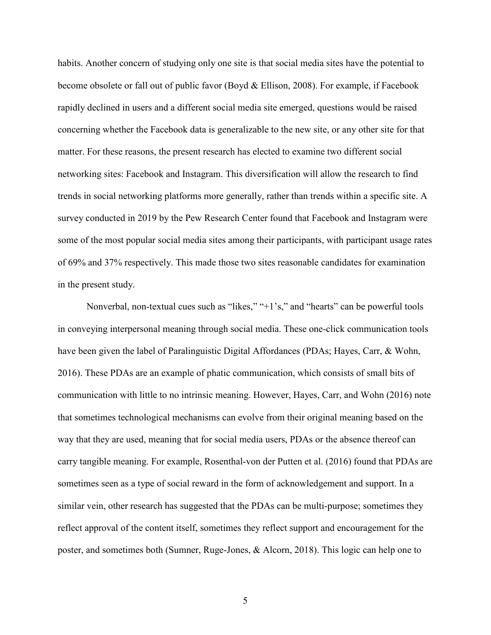habits. Another concern of studying only one site is that social media sites have the potential to become obsolete or fall out of public favor (Boyd & Ellison, 2008). For example, if Facebook rapidly declined in users and a different social media site emerged, questions would be raised concerning whether the Facebook data is generalizable to the new site, or any other site for that matter. For these reasons, the present research has elected to examine two different social networking sites: Facebook and Instagram. This diversification will allow the research to find trends in social networking platforms more generally, rather than trends within a specific site. A survey conducted in 2019 by the Pew Research Center found that Facebook and Instagram were some of the most popular social media sites among their participants, with participant usage rates of 69% and 37% respectively. This made those two sites reasonable candidates for examination in the present study.

Nonverbal, non-textual cues such as "likes," "+1's," and "hearts" can be powerful tools in conveying interpersonal meaning through social media. These one-click communication tools have been given the label of Paralinguistic Digital Affordances (PDAs; Hayes, Carr, & Wohn, 2016). These PDAs are an example of phatic communication, which consists of small bits of communication with little to no intrinsic meaning. However, Hayes, Carr, and Wohn (2016) note that sometimes technological mechanisms can evolve from their original meaning based on the way that they are used, meaning that for social media users, PDAs or the absence thereof can carry tangible meaning. For example, Rosenthal-von der Putten et al. (2016) found that PDAs are sometimes seen as a type of social reward in the form of acknowledgement and support. In a similar vein, other research has suggested that the PDAs can be multi-purpose; sometimes they reflect approval of the content itself, sometimes they reflect support and encouragement for the poster, and sometimes both (Sumner, Ruge-Jones, & Alcorn, 2018). This logic can help one to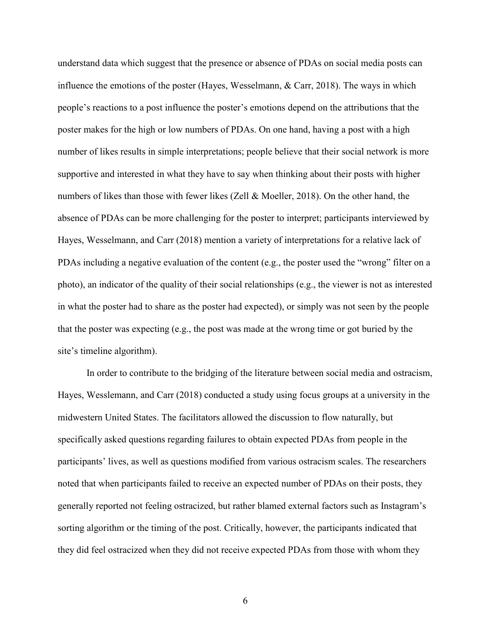understand data which suggest that the presence or absence of PDAs on social media posts can influence the emotions of the poster (Hayes, Wesselmann, & Carr, 2018). The ways in which people's reactions to a post influence the poster's emotions depend on the attributions that the poster makes for the high or low numbers of PDAs. On one hand, having a post with a high number of likes results in simple interpretations; people believe that their social network is more supportive and interested in what they have to say when thinking about their posts with higher numbers of likes than those with fewer likes (Zell & Moeller, 2018). On the other hand, the absence of PDAs can be more challenging for the poster to interpret; participants interviewed by Hayes, Wesselmann, and Carr (2018) mention a variety of interpretations for a relative lack of PDAs including a negative evaluation of the content (e.g., the poster used the "wrong" filter on a photo), an indicator of the quality of their social relationships (e.g., the viewer is not as interested in what the poster had to share as the poster had expected), or simply was not seen by the people that the poster was expecting (e.g., the post was made at the wrong time or got buried by the site's timeline algorithm).

In order to contribute to the bridging of the literature between social media and ostracism, Hayes, Wesslemann, and Carr (2018) conducted a study using focus groups at a university in the midwestern United States. The facilitators allowed the discussion to flow naturally, but specifically asked questions regarding failures to obtain expected PDAs from people in the participants' lives, as well as questions modified from various ostracism scales. The researchers noted that when participants failed to receive an expected number of PDAs on their posts, they generally reported not feeling ostracized, but rather blamed external factors such as Instagram's sorting algorithm or the timing of the post. Critically, however, the participants indicated that they did feel ostracized when they did not receive expected PDAs from those with whom they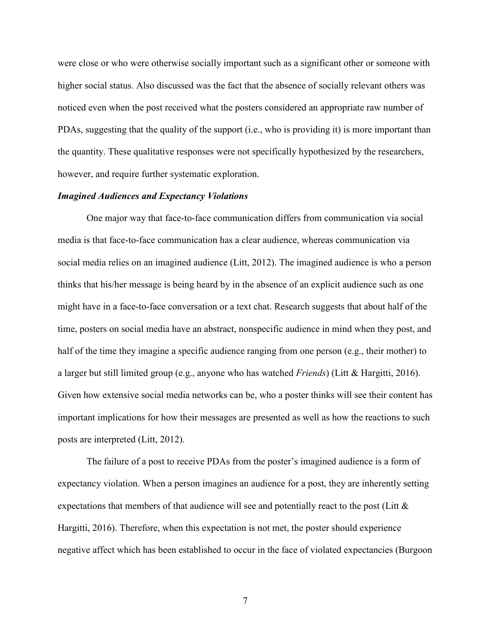were close or who were otherwise socially important such as a significant other or someone with higher social status. Also discussed was the fact that the absence of socially relevant others was noticed even when the post received what the posters considered an appropriate raw number of PDAs, suggesting that the quality of the support (i.e., who is providing it) is more important than the quantity. These qualitative responses were not specifically hypothesized by the researchers, however, and require further systematic exploration.

#### *Imagined Audiences and Expectancy Violations*

One major way that face-to-face communication differs from communication via social media is that face-to-face communication has a clear audience, whereas communication via social media relies on an imagined audience (Litt, 2012). The imagined audience is who a person thinks that his/her message is being heard by in the absence of an explicit audience such as one might have in a face-to-face conversation or a text chat. Research suggests that about half of the time, posters on social media have an abstract, nonspecific audience in mind when they post, and half of the time they imagine a specific audience ranging from one person (e.g., their mother) to a larger but still limited group (e.g., anyone who has watched *Friends*) (Litt & Hargitti, 2016). Given how extensive social media networks can be, who a poster thinks will see their content has important implications for how their messages are presented as well as how the reactions to such posts are interpreted (Litt, 2012).

 The failure of a post to receive PDAs from the poster's imagined audience is a form of expectancy violation. When a person imagines an audience for a post, they are inherently setting expectations that members of that audience will see and potentially react to the post (Litt  $\&$ Hargitti, 2016). Therefore, when this expectation is not met, the poster should experience negative affect which has been established to occur in the face of violated expectancies (Burgoon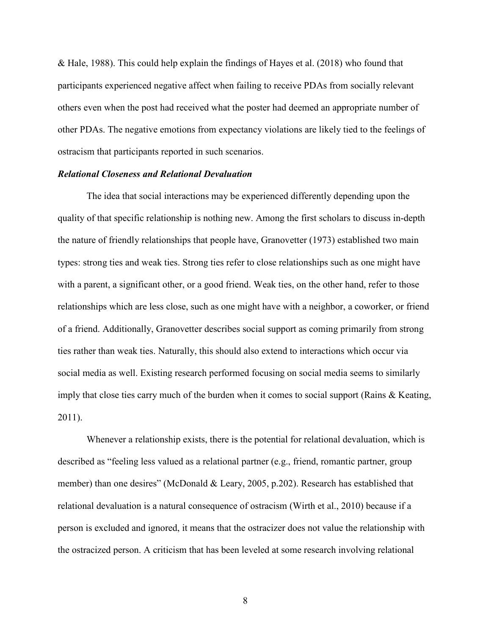& Hale, 1988). This could help explain the findings of Hayes et al. (2018) who found that participants experienced negative affect when failing to receive PDAs from socially relevant others even when the post had received what the poster had deemed an appropriate number of other PDAs. The negative emotions from expectancy violations are likely tied to the feelings of ostracism that participants reported in such scenarios.

#### *Relational Closeness and Relational Devaluation*

The idea that social interactions may be experienced differently depending upon the quality of that specific relationship is nothing new. Among the first scholars to discuss in-depth the nature of friendly relationships that people have, Granovetter (1973) established two main types: strong ties and weak ties. Strong ties refer to close relationships such as one might have with a parent, a significant other, or a good friend. Weak ties, on the other hand, refer to those relationships which are less close, such as one might have with a neighbor, a coworker, or friend of a friend. Additionally, Granovetter describes social support as coming primarily from strong ties rather than weak ties. Naturally, this should also extend to interactions which occur via social media as well. Existing research performed focusing on social media seems to similarly imply that close ties carry much of the burden when it comes to social support (Rains & Keating, 2011).

Whenever a relationship exists, there is the potential for relational devaluation, which is described as "feeling less valued as a relational partner (e.g., friend, romantic partner, group member) than one desires" (McDonald & Leary, 2005, p.202). Research has established that relational devaluation is a natural consequence of ostracism (Wirth et al., 2010) because if a person is excluded and ignored, it means that the ostracizer does not value the relationship with the ostracized person. A criticism that has been leveled at some research involving relational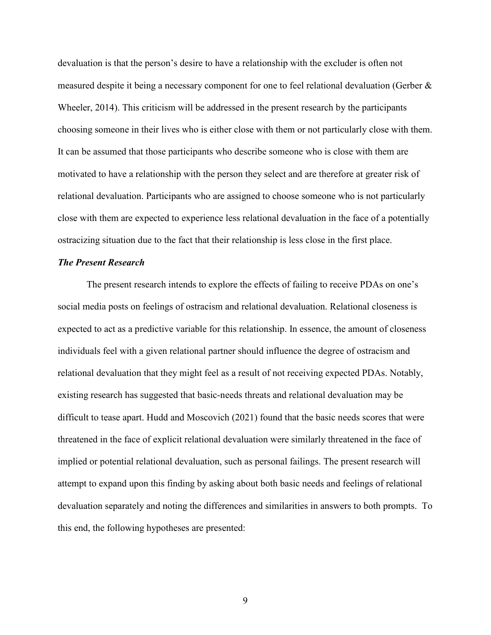devaluation is that the person's desire to have a relationship with the excluder is often not measured despite it being a necessary component for one to feel relational devaluation (Gerber & Wheeler, 2014). This criticism will be addressed in the present research by the participants choosing someone in their lives who is either close with them or not particularly close with them. It can be assumed that those participants who describe someone who is close with them are motivated to have a relationship with the person they select and are therefore at greater risk of relational devaluation. Participants who are assigned to choose someone who is not particularly close with them are expected to experience less relational devaluation in the face of a potentially ostracizing situation due to the fact that their relationship is less close in the first place.

#### *The Present Research*

The present research intends to explore the effects of failing to receive PDAs on one's social media posts on feelings of ostracism and relational devaluation. Relational closeness is expected to act as a predictive variable for this relationship. In essence, the amount of closeness individuals feel with a given relational partner should influence the degree of ostracism and relational devaluation that they might feel as a result of not receiving expected PDAs. Notably, existing research has suggested that basic-needs threats and relational devaluation may be difficult to tease apart. Hudd and Moscovich (2021) found that the basic needs scores that were threatened in the face of explicit relational devaluation were similarly threatened in the face of implied or potential relational devaluation, such as personal failings. The present research will attempt to expand upon this finding by asking about both basic needs and feelings of relational devaluation separately and noting the differences and similarities in answers to both prompts. To this end, the following hypotheses are presented: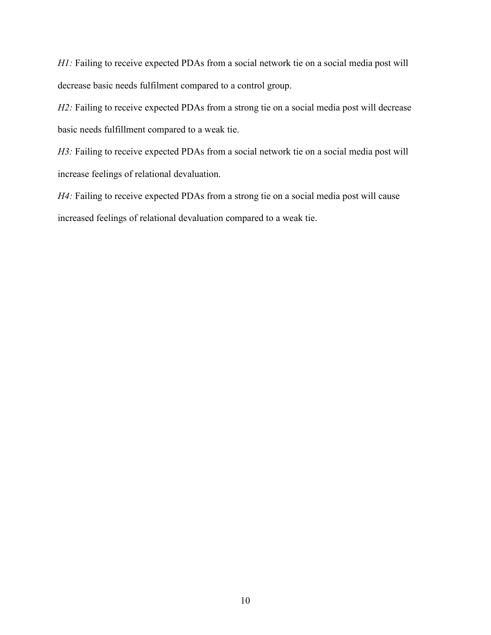*H1*: Failing to receive expected PDAs from a social network tie on a social media post will decrease basic needs fulfilment compared to a control group.

*H2*: Failing to receive expected PDAs from a strong tie on a social media post will decrease basic needs fulfillment compared to a weak tie.

*H3*: Failing to receive expected PDAs from a social network tie on a social media post will increase feelings of relational devaluation.

*H4:* Failing to receive expected PDAs from a strong tie on a social media post will cause increased feelings of relational devaluation compared to a weak tie.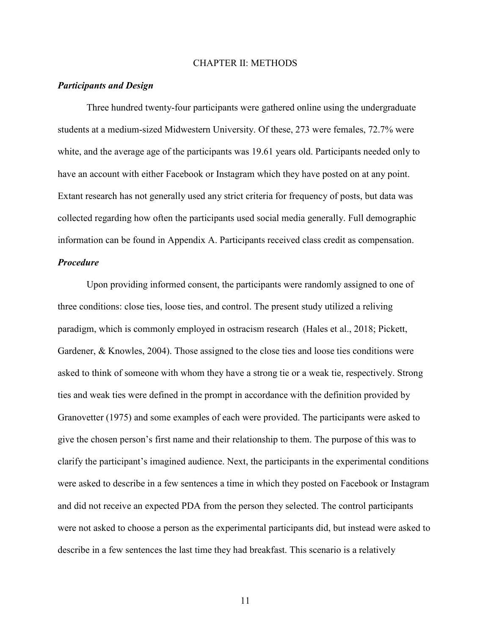#### CHAPTER II: METHODS

#### *Participants and Design*

Three hundred twenty-four participants were gathered online using the undergraduate students at a medium-sized Midwestern University. Of these, 273 were females, 72.7% were white, and the average age of the participants was 19.61 years old. Participants needed only to have an account with either Facebook or Instagram which they have posted on at any point. Extant research has not generally used any strict criteria for frequency of posts, but data was collected regarding how often the participants used social media generally. Full demographic information can be found in Appendix A. Participants received class credit as compensation.

### *Procedure*

Upon providing informed consent, the participants were randomly assigned to one of three conditions: close ties, loose ties, and control. The present study utilized a reliving paradigm, which is commonly employed in ostracism research (Hales et al., 2018; Pickett, Gardener, & Knowles, 2004). Those assigned to the close ties and loose ties conditions were asked to think of someone with whom they have a strong tie or a weak tie, respectively. Strong ties and weak ties were defined in the prompt in accordance with the definition provided by Granovetter (1975) and some examples of each were provided. The participants were asked to give the chosen person's first name and their relationship to them. The purpose of this was to clarify the participant's imagined audience. Next, the participants in the experimental conditions were asked to describe in a few sentences a time in which they posted on Facebook or Instagram and did not receive an expected PDA from the person they selected. The control participants were not asked to choose a person as the experimental participants did, but instead were asked to describe in a few sentences the last time they had breakfast. This scenario is a relatively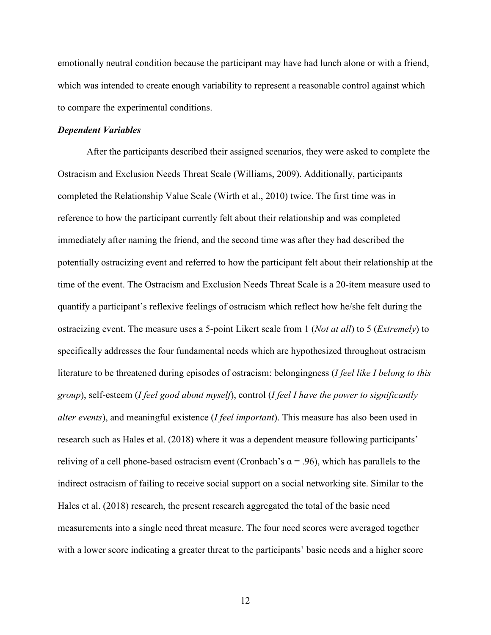emotionally neutral condition because the participant may have had lunch alone or with a friend, which was intended to create enough variability to represent a reasonable control against which to compare the experimental conditions.

#### *Dependent Variables*

After the participants described their assigned scenarios, they were asked to complete the Ostracism and Exclusion Needs Threat Scale (Williams, 2009). Additionally, participants completed the Relationship Value Scale (Wirth et al., 2010) twice. The first time was in reference to how the participant currently felt about their relationship and was completed immediately after naming the friend, and the second time was after they had described the potentially ostracizing event and referred to how the participant felt about their relationship at the time of the event. The Ostracism and Exclusion Needs Threat Scale is a 20-item measure used to quantify a participant's reflexive feelings of ostracism which reflect how he/she felt during the ostracizing event. The measure uses a 5-point Likert scale from 1 (*Not at all*) to 5 (*Extremely*) to specifically addresses the four fundamental needs which are hypothesized throughout ostracism literature to be threatened during episodes of ostracism: belongingness (*I feel like I belong to this group*), self-esteem (*I feel good about myself*), control (*I feel I have the power to significantly alter events*), and meaningful existence (*I feel important*). This measure has also been used in research such as Hales et al. (2018) where it was a dependent measure following participants' reliving of a cell phone-based ostracism event (Cronbach's  $\alpha$  = .96), which has parallels to the indirect ostracism of failing to receive social support on a social networking site. Similar to the Hales et al. (2018) research, the present research aggregated the total of the basic need measurements into a single need threat measure. The four need scores were averaged together with a lower score indicating a greater threat to the participants' basic needs and a higher score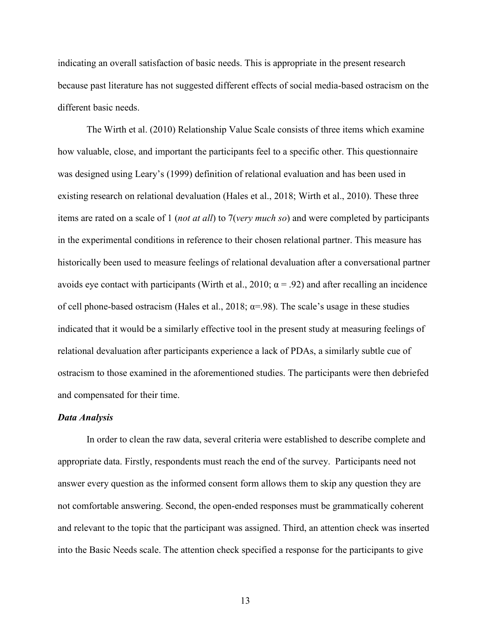indicating an overall satisfaction of basic needs. This is appropriate in the present research because past literature has not suggested different effects of social media-based ostracism on the different basic needs.

The Wirth et al. (2010) Relationship Value Scale consists of three items which examine how valuable, close, and important the participants feel to a specific other. This questionnaire was designed using Leary's (1999) definition of relational evaluation and has been used in existing research on relational devaluation (Hales et al., 2018; Wirth et al., 2010). These three items are rated on a scale of 1 (*not at all*) to 7(*very much so*) and were completed by participants in the experimental conditions in reference to their chosen relational partner. This measure has historically been used to measure feelings of relational devaluation after a conversational partner avoids eye contact with participants (Wirth et al., 2010;  $\alpha$  = .92) and after recalling an incidence of cell phone-based ostracism (Hales et al., 2018;  $\alpha$ =.98). The scale's usage in these studies indicated that it would be a similarly effective tool in the present study at measuring feelings of relational devaluation after participants experience a lack of PDAs, a similarly subtle cue of ostracism to those examined in the aforementioned studies. The participants were then debriefed and compensated for their time.

#### *Data Analysis*

In order to clean the raw data, several criteria were established to describe complete and appropriate data. Firstly, respondents must reach the end of the survey. Participants need not answer every question as the informed consent form allows them to skip any question they are not comfortable answering. Second, the open-ended responses must be grammatically coherent and relevant to the topic that the participant was assigned. Third, an attention check was inserted into the Basic Needs scale. The attention check specified a response for the participants to give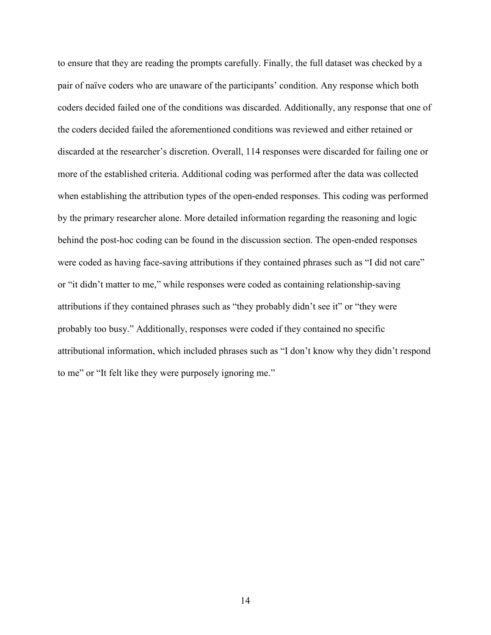to ensure that they are reading the prompts carefully. Finally, the full dataset was checked by a pair of naïve coders who are unaware of the participants' condition. Any response which both coders decided failed one of the conditions was discarded. Additionally, any response that one of the coders decided failed the aforementioned conditions was reviewed and either retained or discarded at the researcher's discretion. Overall, 114 responses were discarded for failing one or more of the established criteria. Additional coding was performed after the data was collected when establishing the attribution types of the open-ended responses. This coding was performed by the primary researcher alone. More detailed information regarding the reasoning and logic behind the post-hoc coding can be found in the discussion section. The open-ended responses were coded as having face-saving attributions if they contained phrases such as "I did not care" or "it didn't matter to me," while responses were coded as containing relationship-saving attributions if they contained phrases such as "they probably didn't see it" or "they were probably too busy." Additionally, responses were coded if they contained no specific attributional information, which included phrases such as "I don't know why they didn't respond to me" or "It felt like they were purposely ignoring me."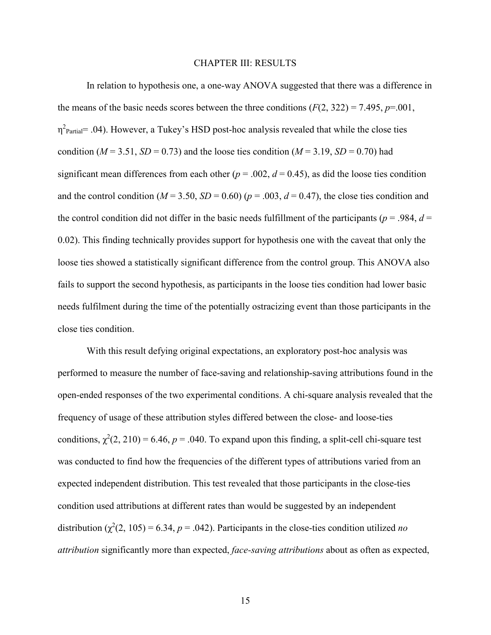#### CHAPTER III: RESULTS

In relation to hypothesis one, a one-way ANOVA suggested that there was a difference in the means of the basic needs scores between the three conditions  $(F(2, 322) = 7.495, p = .001$ ,  $\eta^2$ <sub>Partial</sub> = .04). However, a Tukey's HSD post-hoc analysis revealed that while the close ties condition ( $M = 3.51$ ,  $SD = 0.73$ ) and the loose ties condition ( $M = 3.19$ ,  $SD = 0.70$ ) had significant mean differences from each other ( $p = .002$ ,  $d = 0.45$ ), as did the loose ties condition and the control condition ( $M = 3.50$ ,  $SD = 0.60$ ) ( $p = .003$ ,  $d = 0.47$ ), the close ties condition and the control condition did not differ in the basic needs fulfillment of the participants ( $p = .984$ ,  $d =$ 0.02). This finding technically provides support for hypothesis one with the caveat that only the loose ties showed a statistically significant difference from the control group. This ANOVA also fails to support the second hypothesis, as participants in the loose ties condition had lower basic needs fulfilment during the time of the potentially ostracizing event than those participants in the close ties condition.

 With this result defying original expectations, an exploratory post-hoc analysis was performed to measure the number of face-saving and relationship-saving attributions found in the open-ended responses of the two experimental conditions. A chi-square analysis revealed that the frequency of usage of these attribution styles differed between the close- and loose-ties conditions,  $\chi^2(2, 210) = 6.46$ ,  $p = .040$ . To expand upon this finding, a split-cell chi-square test was conducted to find how the frequencies of the different types of attributions varied from an expected independent distribution. This test revealed that those participants in the close-ties condition used attributions at different rates than would be suggested by an independent distribution  $(\chi^2(2, 105) = 6.34, p = .042)$ . Participants in the close-ties condition utilized *no attribution* significantly more than expected, *face-saving attributions* about as often as expected,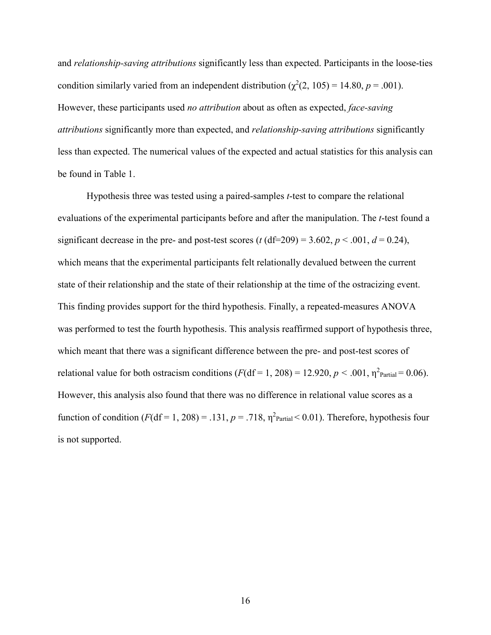and *relationship-saving attributions* significantly less than expected. Participants in the loose-ties condition similarly varied from an independent distribution  $(\chi^2(2, 105) = 14.80, p = .001)$ . However, these participants used *no attribution* about as often as expected, *face-saving attributions* significantly more than expected, and *relationship-saving attributions* significantly less than expected. The numerical values of the expected and actual statistics for this analysis can be found in Table 1.

 Hypothesis three was tested using a paired-samples *t*-test to compare the relational evaluations of the experimental participants before and after the manipulation. The *t*-test found a significant decrease in the pre- and post-test scores ( $t$  (df=209) = 3.602,  $p < .001$ ,  $d = 0.24$ ), which means that the experimental participants felt relationally devalued between the current state of their relationship and the state of their relationship at the time of the ostracizing event. This finding provides support for the third hypothesis. Finally, a repeated-measures ANOVA was performed to test the fourth hypothesis. This analysis reaffirmed support of hypothesis three, which meant that there was a significant difference between the pre- and post-test scores of relational value for both ostracism conditions  $(F(df = 1, 208) = 12.920, p < .001, \eta^2$ <sub>Partial</sub> = 0.06). However, this analysis also found that there was no difference in relational value scores as a function of condition  $(F(df = 1, 208) = .131, p = .718, \eta^2$ <sub>Partial</sub> < 0.01). Therefore, hypothesis four is not supported.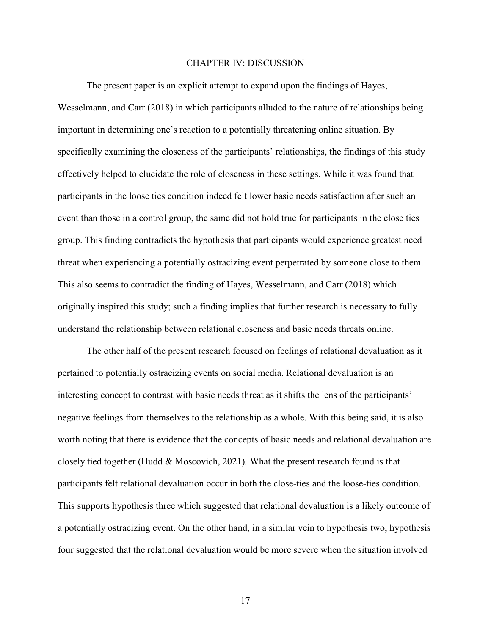#### CHAPTER IV: DISCUSSION

The present paper is an explicit attempt to expand upon the findings of Hayes, Wesselmann, and Carr (2018) in which participants alluded to the nature of relationships being important in determining one's reaction to a potentially threatening online situation. By specifically examining the closeness of the participants' relationships, the findings of this study effectively helped to elucidate the role of closeness in these settings. While it was found that participants in the loose ties condition indeed felt lower basic needs satisfaction after such an event than those in a control group, the same did not hold true for participants in the close ties group. This finding contradicts the hypothesis that participants would experience greatest need threat when experiencing a potentially ostracizing event perpetrated by someone close to them. This also seems to contradict the finding of Hayes, Wesselmann, and Carr (2018) which originally inspired this study; such a finding implies that further research is necessary to fully understand the relationship between relational closeness and basic needs threats online.

The other half of the present research focused on feelings of relational devaluation as it pertained to potentially ostracizing events on social media. Relational devaluation is an interesting concept to contrast with basic needs threat as it shifts the lens of the participants' negative feelings from themselves to the relationship as a whole. With this being said, it is also worth noting that there is evidence that the concepts of basic needs and relational devaluation are closely tied together (Hudd  $\&$  Moscovich, 2021). What the present research found is that participants felt relational devaluation occur in both the close-ties and the loose-ties condition. This supports hypothesis three which suggested that relational devaluation is a likely outcome of a potentially ostracizing event. On the other hand, in a similar vein to hypothesis two, hypothesis four suggested that the relational devaluation would be more severe when the situation involved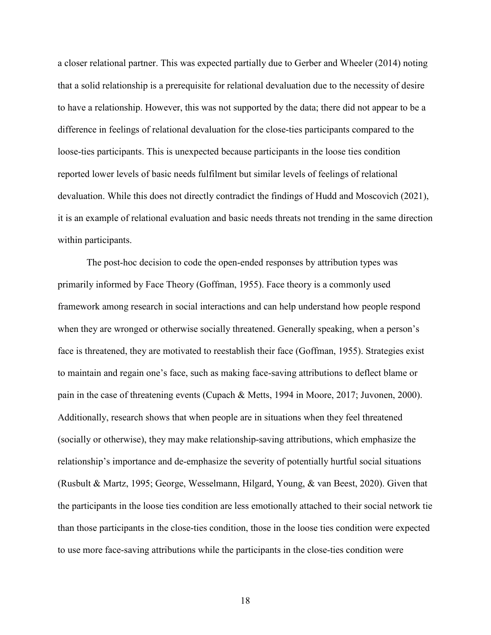a closer relational partner. This was expected partially due to Gerber and Wheeler (2014) noting that a solid relationship is a prerequisite for relational devaluation due to the necessity of desire to have a relationship. However, this was not supported by the data; there did not appear to be a difference in feelings of relational devaluation for the close-ties participants compared to the loose-ties participants. This is unexpected because participants in the loose ties condition reported lower levels of basic needs fulfilment but similar levels of feelings of relational devaluation. While this does not directly contradict the findings of Hudd and Moscovich (2021), it is an example of relational evaluation and basic needs threats not trending in the same direction within participants.

The post-hoc decision to code the open-ended responses by attribution types was primarily informed by Face Theory (Goffman, 1955). Face theory is a commonly used framework among research in social interactions and can help understand how people respond when they are wronged or otherwise socially threatened. Generally speaking, when a person's face is threatened, they are motivated to reestablish their face (Goffman, 1955). Strategies exist to maintain and regain one's face, such as making face-saving attributions to deflect blame or pain in the case of threatening events (Cupach & Metts, 1994 in Moore, 2017; Juvonen, 2000). Additionally, research shows that when people are in situations when they feel threatened (socially or otherwise), they may make relationship-saving attributions, which emphasize the relationship's importance and de-emphasize the severity of potentially hurtful social situations (Rusbult & Martz, 1995; George, Wesselmann, Hilgard, Young, & van Beest, 2020). Given that the participants in the loose ties condition are less emotionally attached to their social network tie than those participants in the close-ties condition, those in the loose ties condition were expected to use more face-saving attributions while the participants in the close-ties condition were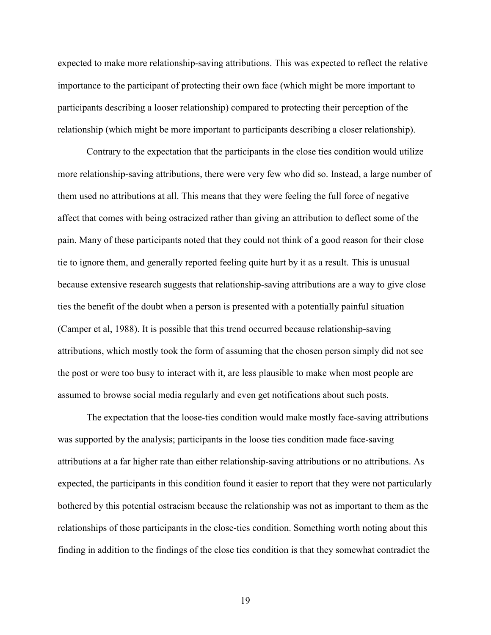expected to make more relationship-saving attributions. This was expected to reflect the relative importance to the participant of protecting their own face (which might be more important to participants describing a looser relationship) compared to protecting their perception of the relationship (which might be more important to participants describing a closer relationship).

Contrary to the expectation that the participants in the close ties condition would utilize more relationship-saving attributions, there were very few who did so. Instead, a large number of them used no attributions at all. This means that they were feeling the full force of negative affect that comes with being ostracized rather than giving an attribution to deflect some of the pain. Many of these participants noted that they could not think of a good reason for their close tie to ignore them, and generally reported feeling quite hurt by it as a result. This is unusual because extensive research suggests that relationship-saving attributions are a way to give close ties the benefit of the doubt when a person is presented with a potentially painful situation (Camper et al, 1988). It is possible that this trend occurred because relationship-saving attributions, which mostly took the form of assuming that the chosen person simply did not see the post or were too busy to interact with it, are less plausible to make when most people are assumed to browse social media regularly and even get notifications about such posts.

The expectation that the loose-ties condition would make mostly face-saving attributions was supported by the analysis; participants in the loose ties condition made face-saving attributions at a far higher rate than either relationship-saving attributions or no attributions. As expected, the participants in this condition found it easier to report that they were not particularly bothered by this potential ostracism because the relationship was not as important to them as the relationships of those participants in the close-ties condition. Something worth noting about this finding in addition to the findings of the close ties condition is that they somewhat contradict the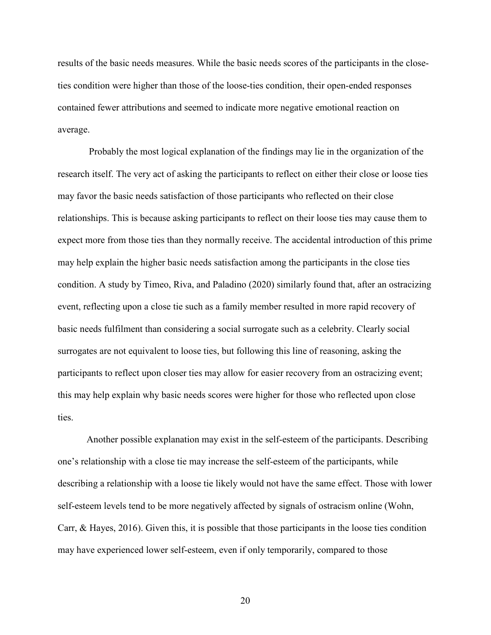results of the basic needs measures. While the basic needs scores of the participants in the closeties condition were higher than those of the loose-ties condition, their open-ended responses contained fewer attributions and seemed to indicate more negative emotional reaction on average.

 Probably the most logical explanation of the findings may lie in the organization of the research itself. The very act of asking the participants to reflect on either their close or loose ties may favor the basic needs satisfaction of those participants who reflected on their close relationships. This is because asking participants to reflect on their loose ties may cause them to expect more from those ties than they normally receive. The accidental introduction of this prime may help explain the higher basic needs satisfaction among the participants in the close ties condition. A study by Timeo, Riva, and Paladino (2020) similarly found that, after an ostracizing event, reflecting upon a close tie such as a family member resulted in more rapid recovery of basic needs fulfilment than considering a social surrogate such as a celebrity. Clearly social surrogates are not equivalent to loose ties, but following this line of reasoning, asking the participants to reflect upon closer ties may allow for easier recovery from an ostracizing event; this may help explain why basic needs scores were higher for those who reflected upon close ties.

Another possible explanation may exist in the self-esteem of the participants. Describing one's relationship with a close tie may increase the self-esteem of the participants, while describing a relationship with a loose tie likely would not have the same effect. Those with lower self-esteem levels tend to be more negatively affected by signals of ostracism online (Wohn, Carr, & Hayes, 2016). Given this, it is possible that those participants in the loose ties condition may have experienced lower self-esteem, even if only temporarily, compared to those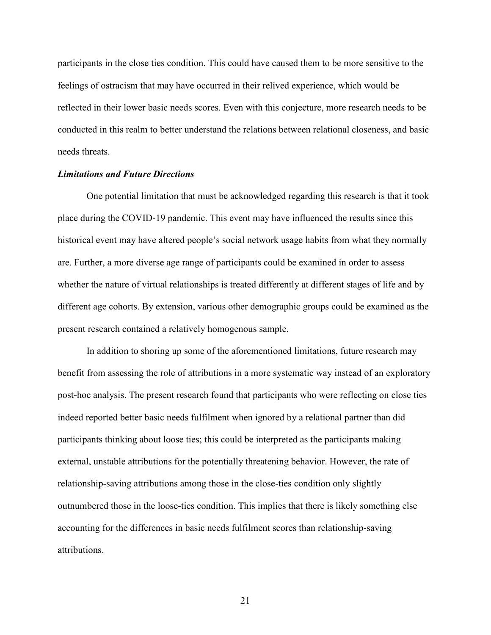participants in the close ties condition. This could have caused them to be more sensitive to the feelings of ostracism that may have occurred in their relived experience, which would be reflected in their lower basic needs scores. Even with this conjecture, more research needs to be conducted in this realm to better understand the relations between relational closeness, and basic needs threats.

#### *Limitations and Future Directions*

One potential limitation that must be acknowledged regarding this research is that it took place during the COVID-19 pandemic. This event may have influenced the results since this historical event may have altered people's social network usage habits from what they normally are. Further, a more diverse age range of participants could be examined in order to assess whether the nature of virtual relationships is treated differently at different stages of life and by different age cohorts. By extension, various other demographic groups could be examined as the present research contained a relatively homogenous sample.

In addition to shoring up some of the aforementioned limitations, future research may benefit from assessing the role of attributions in a more systematic way instead of an exploratory post-hoc analysis. The present research found that participants who were reflecting on close ties indeed reported better basic needs fulfilment when ignored by a relational partner than did participants thinking about loose ties; this could be interpreted as the participants making external, unstable attributions for the potentially threatening behavior. However, the rate of relationship-saving attributions among those in the close-ties condition only slightly outnumbered those in the loose-ties condition. This implies that there is likely something else accounting for the differences in basic needs fulfilment scores than relationship-saving attributions.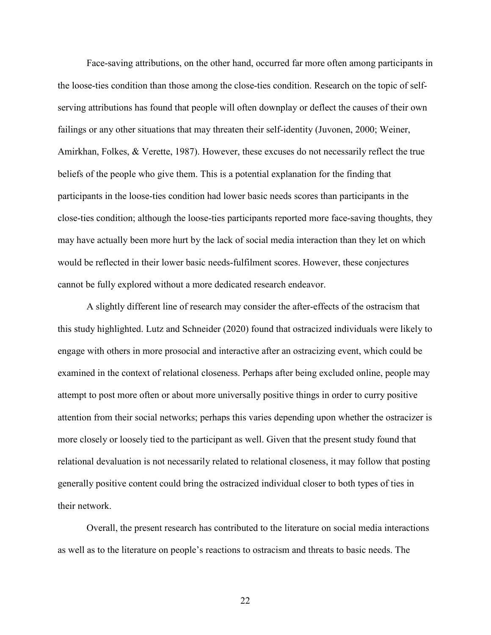Face-saving attributions, on the other hand, occurred far more often among participants in the loose-ties condition than those among the close-ties condition. Research on the topic of selfserving attributions has found that people will often downplay or deflect the causes of their own failings or any other situations that may threaten their self-identity (Juvonen, 2000; Weiner, Amirkhan, Folkes, & Verette, 1987). However, these excuses do not necessarily reflect the true beliefs of the people who give them. This is a potential explanation for the finding that participants in the loose-ties condition had lower basic needs scores than participants in the close-ties condition; although the loose-ties participants reported more face-saving thoughts, they may have actually been more hurt by the lack of social media interaction than they let on which would be reflected in their lower basic needs-fulfilment scores. However, these conjectures cannot be fully explored without a more dedicated research endeavor.

A slightly different line of research may consider the after-effects of the ostracism that this study highlighted. Lutz and Schneider (2020) found that ostracized individuals were likely to engage with others in more prosocial and interactive after an ostracizing event, which could be examined in the context of relational closeness. Perhaps after being excluded online, people may attempt to post more often or about more universally positive things in order to curry positive attention from their social networks; perhaps this varies depending upon whether the ostracizer is more closely or loosely tied to the participant as well. Given that the present study found that relational devaluation is not necessarily related to relational closeness, it may follow that posting generally positive content could bring the ostracized individual closer to both types of ties in their network.

Overall, the present research has contributed to the literature on social media interactions as well as to the literature on people's reactions to ostracism and threats to basic needs. The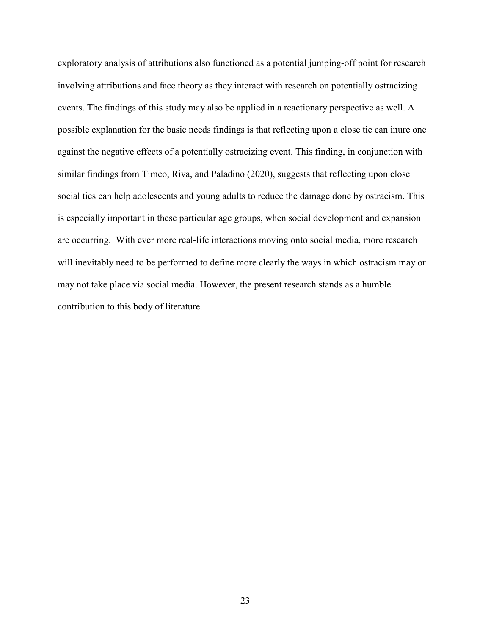exploratory analysis of attributions also functioned as a potential jumping-off point for research involving attributions and face theory as they interact with research on potentially ostracizing events. The findings of this study may also be applied in a reactionary perspective as well. A possible explanation for the basic needs findings is that reflecting upon a close tie can inure one against the negative effects of a potentially ostracizing event. This finding, in conjunction with similar findings from Timeo, Riva, and Paladino (2020), suggests that reflecting upon close social ties can help adolescents and young adults to reduce the damage done by ostracism. This is especially important in these particular age groups, when social development and expansion are occurring. With ever more real-life interactions moving onto social media, more research will inevitably need to be performed to define more clearly the ways in which ostracism may or may not take place via social media. However, the present research stands as a humble contribution to this body of literature.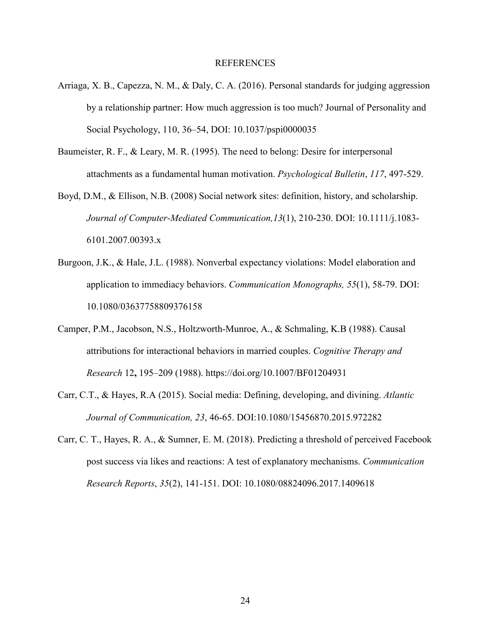#### REFERENCES

- Arriaga, X. B., Capezza, N. M., & Daly, C. A. (2016). Personal standards for judging aggression by a relationship partner: How much aggression is too much? Journal of Personality and Social Psychology, 110, 36–54, DOI: 10.1037/pspi0000035
- Baumeister, R. F., & Leary, M. R. (1995). The need to belong: Desire for interpersonal attachments as a fundamental human motivation. *Psychological Bulletin*, *117*, 497-529.
- Boyd, D.M., & Ellison, N.B. (2008) Social network sites: definition, history, and scholarship. *Journal of Computer-Mediated Communication,13*(1), 210-230. DOI: 10.1111/j.1083- 6101.2007.00393.x
- Burgoon, J.K., & Hale, J.L. (1988). Nonverbal expectancy violations: Model elaboration and application to immediacy behaviors. *Communication Monographs, 55*(1), 58-79. DOI: 10.1080/03637758809376158
- Camper, P.M., Jacobson, N.S., Holtzworth-Munroe, A., & Schmaling, K.B (1988). Causal attributions for interactional behaviors in married couples. *Cognitive Therapy and Research* 12**,** 195–209 (1988). https://doi.org/10.1007/BF01204931
- Carr, C.T., & Hayes, R.A (2015). Social media: Defining, developing, and divining. *Atlantic Journal of Communication, 23*, 46-65. DOI:10.1080/15456870.2015.972282
- Carr, C. T., Hayes, R. A., & Sumner, E. M. (2018). Predicting a threshold of perceived Facebook post success via likes and reactions: A test of explanatory mechanisms. *Communication Research Reports*, *35*(2), 141-151. DOI: 10.1080/08824096.2017.1409618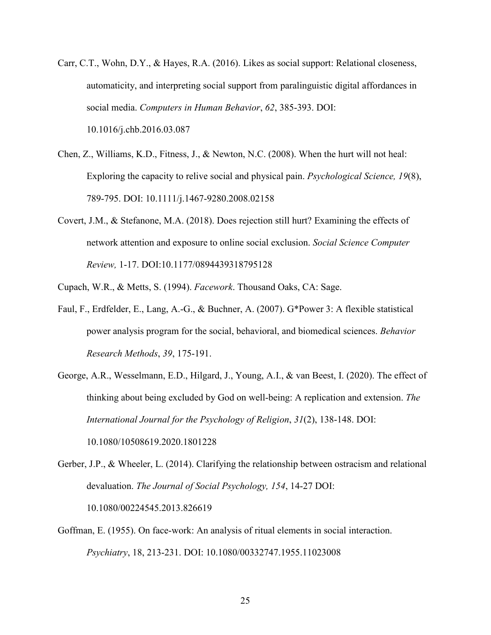- Carr, C.T., Wohn, D.Y., & Hayes, R.A. (2016). Likes as social support: Relational closeness, automaticity, and interpreting social support from paralinguistic digital affordances in social media. *Computers in Human Behavior*, *62*, 385-393. DOI: 10.1016/j.chb.2016.03.087
- Chen, Z., Williams, K.D., Fitness, J., & Newton, N.C. (2008). When the hurt will not heal: Exploring the capacity to relive social and physical pain. *Psychological Science, 19*(8), 789-795. DOI: 10.1111/j.1467-9280.2008.02158
- Covert, J.M., & Stefanone, M.A. (2018). Does rejection still hurt? Examining the effects of network attention and exposure to online social exclusion. *Social Science Computer Review,* 1-17. DOI:10.1177/0894439318795128
- Cupach, W.R., & Metts, S. (1994). *Facework*. Thousand Oaks, CA: Sage.
- Faul, F., Erdfelder, E., Lang, A.-G., & Buchner, A. (2007). G\*Power 3: A flexible statistical power analysis program for the social, behavioral, and biomedical sciences. *Behavior Research Methods*, *39*, 175-191.
- George, A.R., Wesselmann, E.D., Hilgard, J., Young, A.I., & van Beest, I. (2020). The effect of thinking about being excluded by God on well-being: A replication and extension. *The International Journal for the Psychology of Religion*, *31*(2), 138-148. DOI: 10.1080/10508619.2020.1801228
- Gerber, J.P., & Wheeler, L. (2014). Clarifying the relationship between ostracism and relational devaluation. *The Journal of Social Psychology, 154*, 14-27 DOI: 10.1080/00224545.2013.826619
- Goffman, E. (1955). On face-work: An analysis of ritual elements in social interaction. *Psychiatry*, 18, 213-231. DOI: 10.1080/00332747.1955.11023008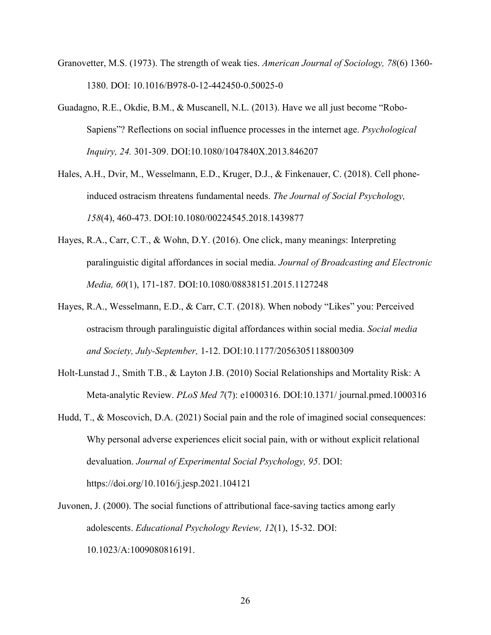- Granovetter, M.S. (1973). The strength of weak ties. *American Journal of Sociology, 78*(6) 1360- 1380. DOI: 10.1016/B978-0-12-442450-0.50025-0
- Guadagno, R.E., Okdie, B.M., & Muscanell, N.L. (2013). Have we all just become "Robo-Sapiens"? Reflections on social influence processes in the internet age. *Psychological Inquiry, 24.* 301-309. DOI:10.1080/1047840X.2013.846207
- Hales, A.H., Dvir, M., Wesselmann, E.D., Kruger, D.J., & Finkenauer, C. (2018). Cell phoneinduced ostracism threatens fundamental needs. *The Journal of Social Psychology, 158*(4), 460-473. DOI:10.1080/00224545.2018.1439877
- Hayes, R.A., Carr, C.T., & Wohn, D.Y. (2016). One click, many meanings: Interpreting paralinguistic digital affordances in social media. *Journal of Broadcasting and Electronic Media, 60*(1), 171-187. DOI:10.1080/08838151.2015.1127248
- Hayes, R.A., Wesselmann, E.D., & Carr, C.T. (2018). When nobody "Likes" you: Perceived ostracism through paralinguistic digital affordances within social media. *Social media and Society, July-September,* 1-12. DOI:10.1177/2056305118800309
- Holt-Lunstad J., Smith T.B., & Layton J.B. (2010) Social Relationships and Mortality Risk: A Meta-analytic Review. *PLoS Med 7*(7): e1000316. DOI:10.1371/ journal.pmed.1000316
- Hudd, T., & Moscovich, D.A. (2021) Social pain and the role of imagined social consequences: Why personal adverse experiences elicit social pain, with or without explicit relational devaluation. *Journal of Experimental Social Psychology, 95*. DOI: https://doi.org/10.1016/j.jesp.2021.104121
- Juvonen, J. (2000). The social functions of attributional face-saving tactics among early adolescents. *Educational Psychology Review, 12*(1), 15-32. DOI: 10.1023/A:1009080816191.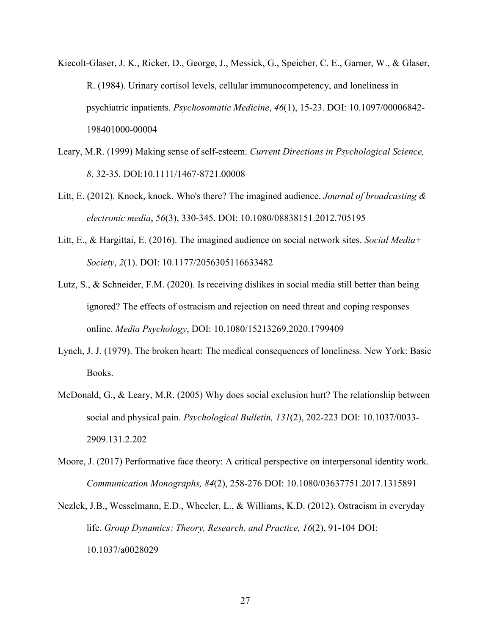- Kiecolt-Glaser, J. K., Ricker, D., George, J., Messick, G., Speicher, C. E., Garner, W., & Glaser, R. (1984). Urinary cortisol levels, cellular immunocompetency, and loneliness in psychiatric inpatients. *Psychosomatic Medicine*, *46*(1), 15-23. DOI: 10.1097/00006842- 198401000-00004
- Leary, M.R. (1999) Making sense of self-esteem. *Current Directions in Psychological Science, 8*, 32-35. DOI:10.1111/1467-8721.00008
- Litt, E. (2012). Knock, knock. Who's there? The imagined audience. *Journal of broadcasting & electronic media*, *56*(3), 330-345. DOI: 10.1080/08838151.2012.705195
- Litt, E., & Hargittai, E. (2016). The imagined audience on social network sites. *Social Media+ Society*, *2*(1). DOI: 10.1177/2056305116633482
- Lutz, S., & Schneider, F.M. (2020). Is receiving dislikes in social media still better than being ignored? The effects of ostracism and rejection on need threat and coping responses online. *Media Psychology*, DOI: 10.1080/15213269.2020.1799409
- Lynch, J. J. (1979). The broken heart: The medical consequences of loneliness. New York: Basic Books.
- McDonald, G., & Leary, M.R. (2005) Why does social exclusion hurt? The relationship between social and physical pain. *Psychological Bulletin, 131*(2), 202-223 DOI: 10.1037/0033- 2909.131.2.202
- Moore, J. (2017) Performative face theory: A critical perspective on interpersonal identity work. *Communication Monographs, 84*(2), 258-276 DOI: 10.1080/03637751.2017.1315891
- Nezlek, J.B., Wesselmann, E.D., Wheeler, L., & Williams, K.D. (2012). Ostracism in everyday life. *Group Dynamics: Theory, Research, and Practice, 16*(2), 91-104 DOI: 10.1037/a0028029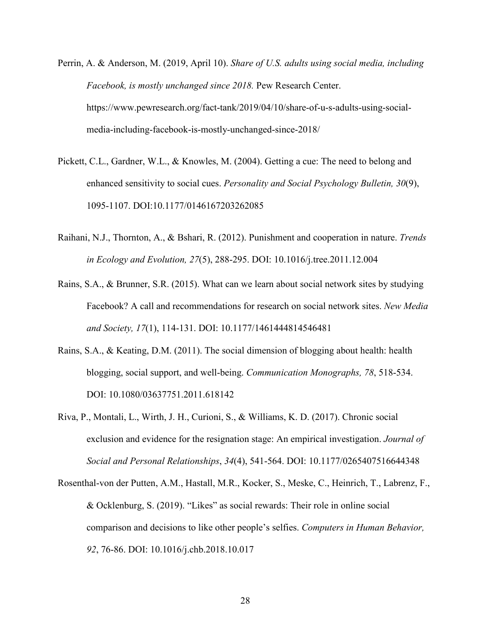- Perrin, A. & Anderson, M. (2019, April 10). *Share of U.S. adults using social media, including Facebook, is mostly unchanged since 2018.* Pew Research Center. https://www.pewresearch.org/fact-tank/2019/04/10/share-of-u-s-adults-using-socialmedia-including-facebook-is-mostly-unchanged-since-2018/
- Pickett, C.L., Gardner, W.L., & Knowles, M. (2004). Getting a cue: The need to belong and enhanced sensitivity to social cues. *Personality and Social Psychology Bulletin, 30*(9), 1095-1107. DOI:10.1177/0146167203262085
- Raihani, N.J., Thornton, A., & Bshari, R. (2012). Punishment and cooperation in nature. *Trends in Ecology and Evolution, 27*(5), 288-295. DOI: 10.1016/j.tree.2011.12.004
- Rains, S.A., & Brunner, S.R. (2015). What can we learn about social network sites by studying Facebook? A call and recommendations for research on social network sites. *New Media and Society, 17*(1), 114-131. DOI: 10.1177/1461444814546481
- Rains, S.A., & Keating, D.M. (2011). The social dimension of blogging about health: health blogging, social support, and well-being. *Communication Monographs, 78*, 518-534. DOI: 10.1080/03637751.2011.618142
- Riva, P., Montali, L., Wirth, J. H., Curioni, S., & Williams, K. D. (2017). Chronic social exclusion and evidence for the resignation stage: An empirical investigation. *Journal of Social and Personal Relationships*, *34*(4), 541-564. DOI: 10.1177/0265407516644348
- Rosenthal-von der Putten, A.M., Hastall, M.R., Kocker, S., Meske, C., Heinrich, T., Labrenz, F., & Ocklenburg, S. (2019). "Likes" as social rewards: Their role in online social comparison and decisions to like other people's selfies. *Computers in Human Behavior, 92*, 76-86. DOI: 10.1016/j.chb.2018.10.017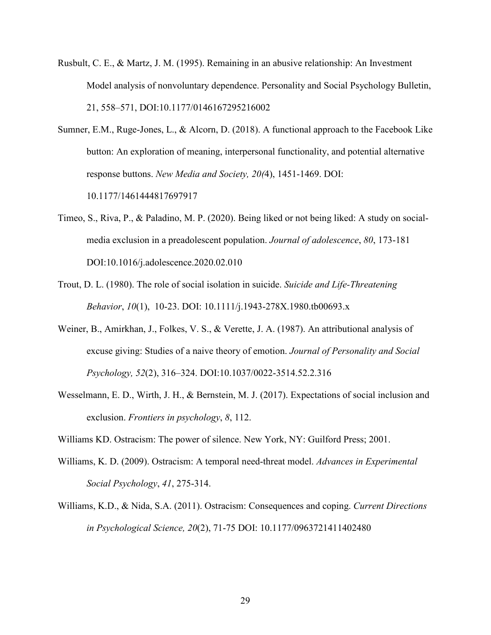- Rusbult, C. E., & Martz, J. M. (1995). Remaining in an abusive relationship: An Investment Model analysis of nonvoluntary dependence. Personality and Social Psychology Bulletin, 21, 558–571, DOI:10.1177/0146167295216002
- Sumner, E.M., Ruge-Jones, L., & Alcorn, D. (2018). A functional approach to the Facebook Like button: An exploration of meaning, interpersonal functionality, and potential alternative response buttons. *New Media and Society, 20(*4), 1451-1469. DOI: 10.1177/1461444817697917
- Timeo, S., Riva, P., & Paladino, M. P. (2020). Being liked or not being liked: A study on socialmedia exclusion in a preadolescent population. *Journal of adolescence*, *80*, 173-181 DOI:10.1016/j.adolescence.2020.02.010
- Trout, D. L. (1980). The role of social isolation in suicide. *Suicide and Life-Threatening Behavior*, *10*(1), 10-23. DOI: 10.1111/j.1943-278X.1980.tb00693.x
- Weiner, B., Amirkhan, J., Folkes, V. S., & Verette, J. A. (1987). An attributional analysis of excuse giving: Studies of a naive theory of emotion. *Journal of Personality and Social Psychology, 52*(2), 316–324. DOI:10.1037/0022-3514.52.2.316
- Wesselmann, E. D., Wirth, J. H., & Bernstein, M. J. (2017). Expectations of social inclusion and exclusion. *Frontiers in psychology*, *8*, 112.

Williams KD. Ostracism: The power of silence. New York, NY: Guilford Press; 2001.

- Williams, K. D. (2009). Ostracism: A temporal need-threat model. *Advances in Experimental Social Psychology*, *41*, 275-314.
- Williams, K.D., & Nida, S.A. (2011). Ostracism: Consequences and coping. *Current Directions in Psychological Science, 20*(2), 71-75 DOI: 10.1177/0963721411402480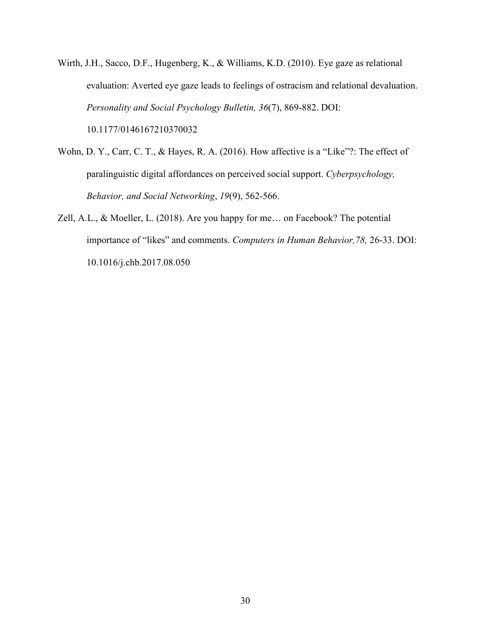- Wirth, J.H., Sacco, D.F., Hugenberg, K., & Williams, K.D. (2010). Eye gaze as relational evaluation: Averted eye gaze leads to feelings of ostracism and relational devaluation. *Personality and Social Psychology Bulletin, 36*(7), 869-882. DOI: 10.1177/0146167210370032
- Wohn, D. Y., Carr, C. T., & Hayes, R. A. (2016). How affective is a "Like"?: The effect of paralinguistic digital affordances on perceived social support. *Cyberpsychology, Behavior, and Social Networking*, *19*(9), 562-566.
- Zell, A.L., & Moeller, L. (2018). Are you happy for me… on Facebook? The potential importance of "likes" and comments. *Computers in Human Behavior,78,* 26-33. DOI: 10.1016/j.chb.2017.08.050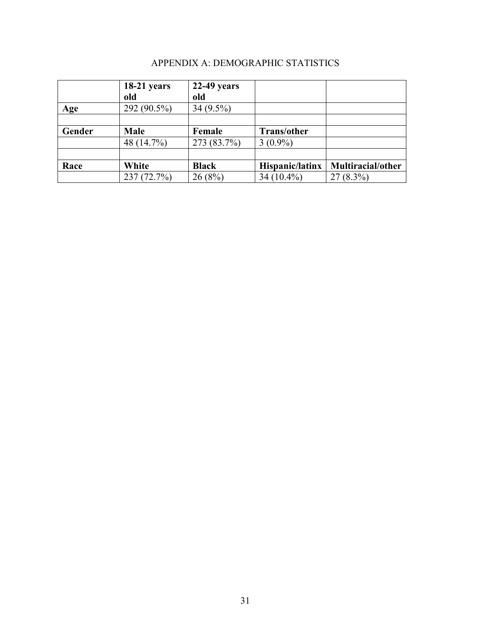|  | APPENDIX A: DEMOGRAPHIC STATISTICS |  |
|--|------------------------------------|--|
|--|------------------------------------|--|

|        | $18-21$ years | $22-49$ years |                    |                   |
|--------|---------------|---------------|--------------------|-------------------|
|        | old           | old           |                    |                   |
| Age    | 292 (90.5%)   | $34(9.5\%)$   |                    |                   |
|        |               |               |                    |                   |
| Gender | Male          | Female        | <b>Trans/other</b> |                   |
|        | 48 (14.7%)    | 273 (83.7%)   | $3(0.9\%)$         |                   |
|        |               |               |                    |                   |
| Race   | White         | <b>Black</b>  | Hispanic/latinx    | Multiracial/other |
|        | 237(72.7%)    | 26(8%)        | 34 $(10.4\%)$      | $27(8.3\%)$       |